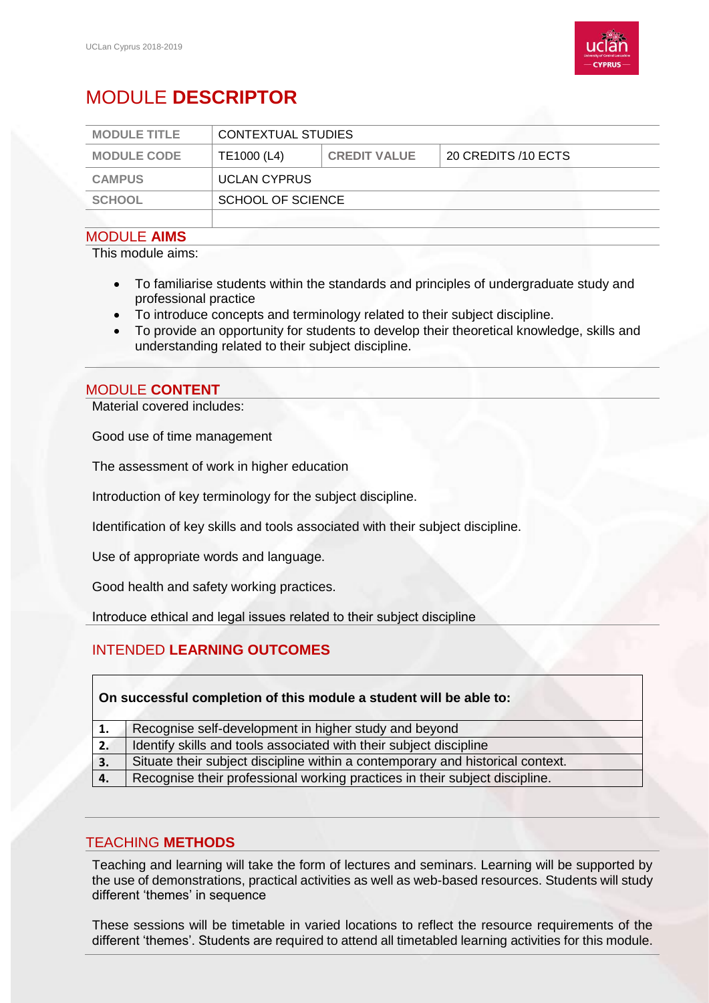

# MODULE **DESCRIPTOR**

| <b>MODULE TITLE</b> | CONTEXTUAL STUDIES  |                     |                     |  |
|---------------------|---------------------|---------------------|---------------------|--|
| <b>MODULE CODE</b>  | TE1000 (L4)         | <b>CREDIT VALUE</b> | 20 CREDITS /10 ECTS |  |
| <b>CAMPUS</b>       | <b>UCLAN CYPRUS</b> |                     |                     |  |
| <b>SCHOOL</b>       |                     | SCHOOL OF SCIENCE   |                     |  |
|                     |                     |                     |                     |  |

#### MODULE **AIMS**

This module aims:

- To familiarise students within the standards and principles of undergraduate study and professional practice
- To introduce concepts and terminology related to their subject discipline.
- To provide an opportunity for students to develop their theoretical knowledge, skills and understanding related to their subject discipline.

## MODULE **CONTENT**

Material covered includes:

Good use of time management

The assessment of work in higher education

Introduction of key terminology for the subject discipline.

Identification of key skills and tools associated with their subject discipline.

Use of appropriate words and language.

Good health and safety working practices.

Introduce ethical and legal issues related to their subject discipline

## INTENDED **LEARNING OUTCOMES**

| On successful completion of this module a student will be able to: |                                                                                |  |  |  |
|--------------------------------------------------------------------|--------------------------------------------------------------------------------|--|--|--|
| 1.                                                                 | Recognise self-development in higher study and beyond                          |  |  |  |
| 2.                                                                 | Identify skills and tools associated with their subject discipline             |  |  |  |
| 3.                                                                 | Situate their subject discipline within a contemporary and historical context. |  |  |  |
| 4.                                                                 | Recognise their professional working practices in their subject discipline.    |  |  |  |

## TEACHING **METHODS**

Teaching and learning will take the form of lectures and seminars. Learning will be supported by the use of demonstrations, practical activities as well as web-based resources. Students will study different 'themes' in sequence

These sessions will be timetable in varied locations to reflect the resource requirements of the different 'themes'. Students are required to attend all timetabled learning activities for this module.